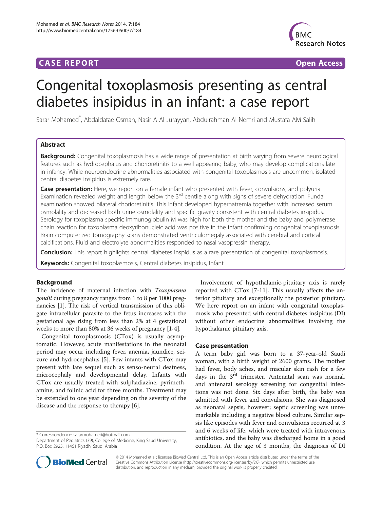# **CASE REPORT CASE REPORT CASE REPORT**



# Congenital toxoplasmosis presenting as central diabetes insipidus in an infant: a case report

Sarar Mohamed\* , Abdaldafae Osman, Nasir A Al Jurayyan, Abdulrahman Al Nemri and Mustafa AM Salih

# Abstract

**Background:** Congenital toxoplasmosis has a wide range of presentation at birth varying from severe neurological features such as hydrocephalus and chorioretinitis to a well appearing baby, who may develop complications late in infancy. While neuroendocrine abnormalities associated with congenital toxoplasmosis are uncommon, isolated central diabetes insipidus is extremely rare.

Case presentation: Here, we report on a female infant who presented with fever, convulsions, and polyuria. Examination revealed weight and length below the 3<sup>rd</sup> centile along with signs of severe dehydration. Fundal examination showed bilateral chorioretinitis. This infant developed hypernatremia together with increased serum osmolality and decreased both urine osmolality and specific gravity consistent with central diabetes insipidus. Serology for toxoplasma specific immunoglobulin M was high for both the mother and the baby and polymerase chain reaction for toxoplasma deoxyribonucleic acid was positive in the infant confirming congenital toxoplasmosis. Brain computerized tomography scans demonstrated ventriculomegaly associated with cerebral and cortical calcifications. Fluid and electrolyte abnormalities responded to nasal vasopressin therapy.

Conclusion: This report highlights central diabetes inspidus as a rare presentation of congenital toxoplasmosis.

Keywords: Congenital toxoplasmosis, Central diabetes insipidus, Infant

# Background

The incidence of maternal infection with Toxoplasma gondii during pregnancy ranges from 1 to 8 per 1000 pregnancies [\[1\]](#page-3-0). The risk of vertical transmission of this obligate intracellular parasite to the fetus increases with the gestational age rising from less than 2% at 4 gestational weeks to more than 80% at 36 weeks of pregnancy [\[1](#page-3-0)-[4](#page-3-0)].

Congenital toxoplasmosis (CTox) is usually asymptomatic. However, acute manifestations in the neonatal period may occur including fever, anemia, jaundice, seizure and hydrocephalus [[5\]](#page-3-0). Few infants with CTox may present with late sequel such as senso-neural deafness, microcephaly and developmental delay. Infants with CTox are usually treated with sulphadiazine, pyrimethamine, and folinic acid for three months. Treatment may be extended to one year depending on the severity of the disease and the response to therapy [[6\]](#page-3-0).

\* Correspondence: [sararmohamed@hotmail.com](mailto:sararmohamed@hotmail.com)

Involvement of hypothalamic-pituitary axis is rarely reported with CTox [\[7-11](#page-3-0)]. This usually affects the anterior pituitary and exceptionally the posterior pituitary. We here report on an infant with congenital toxoplasmosis who presented with central diabetes insipidus (DI) without other endocrine abnormalities involving the hypothalamic pituitary axis.

# Case presentation

A term baby girl was born to a 37-year-old Saudi woman, with a birth weight of 2600 grams. The mother had fever, body aches, and macular skin rash for a few days in the 3<sup>rd</sup> trimester. Antenatal scan was normal, and antenatal serology screening for congenital infections was not done. Six days after birth, the baby was admitted with fever and convulsions, She was diagnosed as neonatal sepsis, however; septic screening was unremarkable including a negative blood culture. Similar sepsis like episodes with fever and convulsions recurred at 3 and 6 weeks of life, which were treated with intravenous antibiotics, and the baby was discharged home in a good condition. At the age of 3 months, the diagnosis of DI



© 2014 Mohamed et al.; licensee BioMed Central Ltd. This is an Open Access article distributed under the terms of the Creative Commons Attribution License (<http://creativecommons.org/licenses/by/2.0>), which permits unrestricted use, distribution, and reproduction in any medium, provided the original work is properly credited.

Department of Pediatrics (39), College of Medicine, King Saud University, P.O. Box 2925, 11461 Riyadh, Saudi Arabia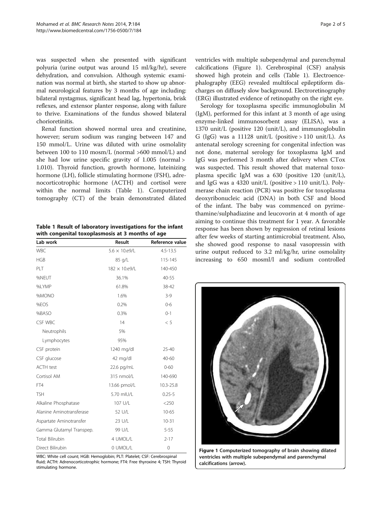was suspected when she presented with significant polyuria (urine output was around 15 ml/kg/hr), severe dehydration, and convulsion. Although systemic examination was normal at birth, she started to show up abnormal neurological features by 3 months of age including: bilateral nystagmus, significant head lag, hypertonia, brisk reflexes, and extensor planter response, along with failure to thrive. Examinations of the fundus showed bilateral chorioretinitis.

Renal function showed normal urea and creatinine, however; serum sodium was ranging between 147 and 150 mmol/L. Urine was diluted with urine osmolality between 100 to 110 mosm/L (normal >600 mmol/L) and she had low urine specific gravity of 1.005 (normal > 1.010). Thyroid function, growth hormone, luteinizing hormone (LH), follicle stimulating hormone (FSH), adrenocorticotrophic hormone (ACTH) and cortisol were within the normal limits (Table 1). Computerized tomography (CT) of the brain demonstrated dilated

Table 1 Result of laboratory investigations for the infant with congenital toxoplasmosis at 3 months of age

| Lab work                 | Result                | Reference value |
|--------------------------|-----------------------|-----------------|
| <b>WBC</b>               | $5.6 \times 10.69$ /L | $4.5 - 13.5$    |
| <b>HGB</b>               | 85 g/L                | 115-145         |
| PLT                      | 182 × 10.e9/L         | 140-450         |
| %NEUT                    | 36.1%                 | 40-55           |
| %LYMP                    | 61.8%                 | 38-42           |
| %MONO                    | 1.6%                  | $3-9$           |
| %EOS                     | 0.2%                  | $0 - 6$         |
| %BASO                    | 0.3%                  | $0 - 1$         |
| CSF WBC                  | 14                    | < 5             |
| Neutrophils              | 5%                    |                 |
| Lymphocytes              | 95%                   |                 |
| CSF protein              | 1240 mg/dl            | $25 - 40$       |
| CSF glucose              | 42 mg/dl              | 40-60           |
| <b>ACTH</b> test         | 22.6 pg/mL            | $0 - 60$        |
| Cortisol AM              | 315 nmol/L            | 140-690         |
| FT4                      | 13.66 pmol/L          | 10.3-25.8       |
| <b>TSH</b>               | 5.70 mIU/L            | $0.25 - 5$      |
| Alkaline Phosphatase     | 107 U/L               | $<$ 250         |
| Alanine Aminotransferase | 52 U/L                | 10-65           |
| Aspartate Aminotransfer  | 23 U/L                | $10 - 31$       |
| Gamma Glutamyl Transpep. | 99 U/L                | $5 - 55$        |
| <b>Total Bilirubin</b>   | 4 UMOL/L              | $2 - 17$        |
| Direct Bilirubin         | 0 UMOL/L              | 0               |

WBC: White cell count; HGB: Hemoglobin; PLT: Platelet; CSF: Cerebrospinal fluid; ACTH: Adrenocorticotrophic hormone; FT4: Free thyroxine 4; TSH: Thyroid stimulating hormone.

ventricles with multiple subependymal and parenchymal calcifications (Figure 1). Cerebrospinal (CSF) analysis showed high protein and cells (Table 1). Electroencephalography (EEG) revealed multifocal epileptiform discharges on diffusely slow background. Electroretinography (ERG) illustrated evidence of retinopathy on the right eye.

Serology for toxoplasma specific immunoglobulin M (IgM), performed for this infant at 3 month of age using enzyme-linked immunosorbent assay (ELISA), was a 1370 unit/L (positive 120 (unit/L), and immunoglobulin G (IgG) was a 11128 unit/L (positive  $> 110$  unit/L). As antenatal serology screening for congenital infection was not done, maternal serology for toxoplasma IgM and IgG was performed 3 month after delivery when CTox was suspected. This result showed that maternal toxoplasma specific IgM was a 630 (positive 120 (unit/L), and IgG was a 4320 unit/L (positive > 110 unit/L). Polymerase chain reaction (PCR) was positive for toxoplasma deoxyribonucleic acid (DNA) in both CSF and blood of the infant. The baby was commenced on pyrimethamine/sulphadiazine and leucovorin at 4 month of age aiming to continue this treatment for 1 year. A favorable response has been shown by regression of retinal lesions after few weeks of starting antimicrobial treatment. Also, she showed good response to nasal vasopressin with urine output reduced to 3.2 ml/kg/hr, urine osmolality increasing to 650 mosml/l and sodium controlled



Figure 1 Computerized tomography of brain showing dilated ventricles with multiple subependymal and parenchymal calcifications (arrow).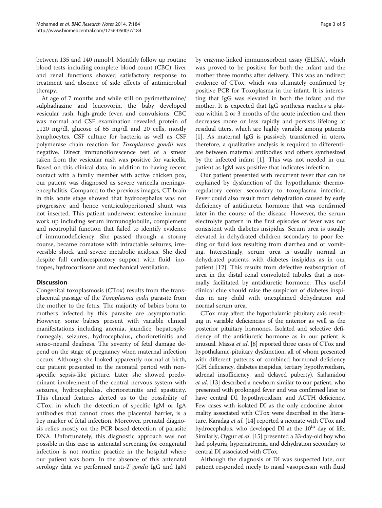between 135 and 140 mmol/l. Monthly follow up routine blood tests including complete blood count (CBC), liver and renal functions showed satisfactory response to treatment and absence of side effects of antimicrobial therapy.

At age of 7 months and while still on pyrimethamine/ sulphadiazine and leucovorin, the baby developed vesicular rash, high-grade fever, and convulsions. CBC was normal and CSF examination revealed protein of 1120 mg/dl, glucose of 65 mg/dl and 20 cells, mostly lymphocytes. CSF culture for bacteria as well as CSF polymerase chain reaction for Toxoplasma gondii was negative. Direct immunoflorescence test of a smear taken from the vesicular rash was positive for varicella. Based on this clinical data, in addition to having recent contact with a family member with active chicken pox, our patient was diagnosed as severe varicella meningoencephalitis. Compared to the previous images, CT brain in this acute stage showed that hydrocephalus was not progressive and hence ventriculoperitoneal shunt was not inserted. This patient underwent extensive immune work up including serum immunoglobulin, complement and neutrophil function that failed to identify evidence of immunodeficiency. She passed through a stormy course, became comatose with intractable seizures, irreversible shock and severe metabolic acidosis. She died despite full cardiorespiratory support with fluid, inotropes, hydrocortisone and mechanical ventilation.

# **Discussion**

Congenital toxoplasmosis (CTox) results from the transplacental passage of the Toxoplasma godii parasite from the mother to the fetus. The majority of babies born to mothers infected by this parasite are asymptomatic. However, some babies present with variable clinical manifestations including anemia, jaundice, hepatosplenomegaly, seizures, hydrocephalus, chorioretinitis and senso-neural deafness. The severity of fetal damage depend on the stage of pregnancy when maternal infection occurs. Although she looked apparently normal at birth, our patient presented in the neonatal period with nonspecific sepsis-like picture. Later she showed predominant involvement of the central nervous system with seizures, hydrocephalus, chorioretinitis and spasticity. This clinical features alerted us to the possibility of CTox, in which the detection of specific IgM or IgA antibodies that cannot cross the placental barrier, is a key marker of fetal infection. Moreover, prenatal diagnosis relies mostly on the PCR based detection of parasite DNA. Unfortunately, this diagnostic approach was not possible in this case as antenatal screening for congenital infection is not routine practice in the hospital where our patient was born. In the absence of this antenatal serology data we performed anti- $T$  gondii IgG and IgM

by enzyme-linked immunosorbent assay (ELISA), which was proved to be positive for both the infant and the mother three months after delivery. This was an indirect evidence of CTox, which was ultimately confirmed by positive PCR for Toxoplasma in the infant. It is interesting that IgG was elevated in both the infant and the mother. It is expected that IgG synthesis reaches a plateau within 2 or 3 months of the acute infection and then decreases more or less rapidly and persists lifelong at residual titers, which are highly variable among patients [[1\]](#page-3-0). As maternal IgG is passively transferred in utero, therefore, a qualitative analysis is required to differentiate between maternal antibodies and others synthesized by the infected infant [\[1\]](#page-3-0). This was not needed in our patient as IgM was positive that indicates infection.

Our patient presented with recurrent fever that can be explained by dysfunction of the hypothalamic thermoregulatory center secondary to toxoplasma infection. Fever could also result from dehydration caused by early deficiency of antidiuretic hormone that was confirmed later in the course of the disease. However, the serum electrolyte pattern in the first episodes of fever was not consistent with diabetes insipidus. Serum urea is usually elevated in dehydrated children secondary to poor feeding or fluid loss resulting from diarrhea and or vomiting. Interestingly, serum urea is usually normal in dehydrated patients with diabetes insipidus as in our patient [\[12\]](#page-3-0). This results from defective reabsorption of urea in the distal renal convoluted tubules that is normally facilitated by antidiuretic hormone. This useful clinical clue should raise the suspicion of diabetes inspidus in any child with unexplained dehydration and normal serum urea.

CTox may affect the hypothalamic pituitary axis resulting in variable deficiencies of the anterior as well as the posterior pituitary hormones. Isolated and selective deficiency of the antidiuretic hormone as in our patient is unusual. Massa et al. [\[8\]](#page-3-0) reported three cases of CTox and hypothalamic-pituitary dysfunction, all of whom presented with different patterns of combined hormonal deficiency (GH deficiency, diabetes insipidus, tertiary hypothyroidism, adrenal insufficiency, and delayed puberty). Siahanidou et al. [[13](#page-3-0)] described a newborn similar to our patient, who presented with prolonged fever and was confirmed later to have central DI, hypothyroidism, and ACTH deficiency. Few cases with isolated DI as the only endocrine abnormality associated with CTox were described in the litera-ture. Karadag et al. [[14](#page-3-0)] reported a neonate with CTox and hydrocephalus, who developed DI at the 10<sup>th</sup> day of life. Similarly, Oygur et al. [[15](#page-3-0)] presented a 33-day-old boy who had polyuria, hypernatremia, and dehydration secondary to central DI associated with CTox.

Although the diagnosis of DI was suspected late, our patient responded nicely to nasal vasopressin with fluid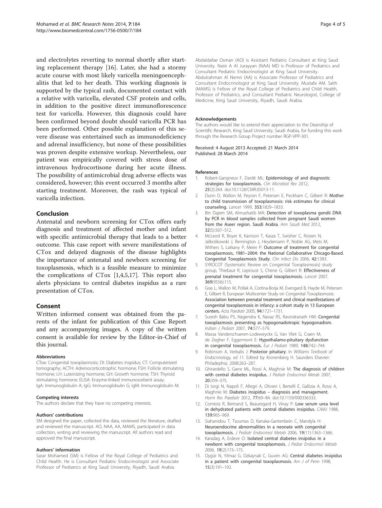<span id="page-3-0"></span>and electrolytes reverting to normal shortly after starting replacement therapy [\[16](#page-4-0)]. Later, she had a stormy acute course with most likely varicella meningoencephalitis that led to her death. This working diagnosis is supported by the typical rash, documented contact with a relative with varicella, elevated CSF protein and cells, in addition to the positive direct immunoflorescence test for varicella. However, this diagnosis could have been confirmed beyond doubt should varicella PCR has been performed. Other possible explanation of this severe disease was entertained such as immunodeficiency and adrenal insufficiency, but none of these possibilities was proven despite extensive workup. Nevertheless, our patient was empirically covered with stress dose of intravenous hydrocortisone during her acute illness. The possibility of antimicrobial drug adverse effects was considered, however; this event occurred 3 months after starting treatment. Moreover, the rash was typical of varicella infection.

# Conclusion

Antenatal and newborn screening for CTox offers early diagnosis and treatment of affected mother and infant with specific antimicrobial therapy that leads to a better outcome. This case report with severe manifestations of CTox and delayed diagnosis of the disease highlights the importance of antenatal and newborn screening for toxoplasmosis, which is a feasible measure to minimize the complications of CTox [1,4,5,[17](#page-4-0)]. This report also alerts physicians to central diabetes inspidus as a rare presentation of CTox.

# Consent

Written informed consent was obtained from the parents of the infant for publication of this Case Report and any accompanying images. A copy of the written consent is available for review by the Editor-in-Chief of this journal.

#### Abbreviations

CTox: Congenital toxoplasmosis; DI: Diabetes inspidus; CT: Computerized tomography; ACTH: Adrenocorticotrophic hormone; FSH: Follicle stimulating hormone; LH: Luteinizing hormone; GH: Growth hormone; TSH: Thyroid stimulating hormone; ELISA: Enzyme-linked immunosorbent assay; IgA: Immunoglobulin A; IgG: Immunoglobulin G; IgM: Immunoglobulin M.

#### Competing interests

The authors declare that they have no competing interests.

#### Authors' contributions

SM designed the paper, collected the data, reviewed the literature, drafted and reviewed the manuscript. AO, NAA, AA, MAMS, participated in data collection, writing and reviewing the manuscript. All authors read and approved the final manuscript.

#### Authors' information

Sarar Mohamed (SM) is Fellow of the Royal College of Pediatrics and Child Health. He is Consultant Pediatric Endocrinologist and Associate Professor of Pediatrics at King Saud University, Riyadh, Saudi Arabia.

Abdaldafae Osman (AO) is Assistant Pediatric Consultant at King Saud University. Nasir A Al Jurayyan (NAA) MD is Professor of Pediatrics and Consultant Pediatric Endocrinologist at King Saud University. Abdulrahman Al Nemri (AA) is Associate Professor of Pediatrics and Consultant Endocrinologist at King Saud University. Mustafa AM. Salih (MAMS) is Fellow of the Royal College of Pediatrics and Child Health, Professor of Pediatrics, and Consultant Pediatric Neurologist, College of Medicine, King Saud University, Riyadh, Saudi Arabia.

#### Acknowledgements

The authors would like to extend their appreciation to the Deanship of Scientific Research, King Saud University, Saudi Arabia, for funding this work through the Research Group Project number RGP-VPP-301.

Received: 4 August 2013 Accepted: 21 March 2014 Published: 28 March 2014

#### References

- 1. Robert-Gangneux F, Dardé ML: Epidemiology of and diagnostic strategies for toxoplasmosis. Clin Microbiol Rev 2012, 25(2):264. doi:10.1128/CMR.05013-11.
- 2. Dunn D, Wallon M, Peyron F, Petersen E, Peckham C, Gilbert R: Mother to child transmission of toxoplasmosis: risk estimates for clinical counseling. Lancet 1999, 353:1829–1833.
- 3. Bin Dajem SM, Almushaitb MA: Detection of toxoplasma gondii DNA by PCR in blood samples collected from pregnant Saudi women from the Aseer region. Saudi Arabia. Ann Saudi Med 2012, 32(5):507–512.
- 4. McLeod R, Boyer K, Karrison T, Kasza T, Swisher C, Roizen N, Jalbrzikowski J, Remington J, Heydemann P, Noble AG, Mets M, Withers S, Latkany P, Meier P: Outcome of treatment for congenital toxoplasmosis, 1981–2004: the National Collaborative Chicago-Based. Congenital Toxoplasmosis Study. Clin Infect Dis 2006, 42:1383.
- 5. SYROCOT (Systematic Review on Congenital Toxoplasmosis) study group, Thiebaut R, Leproust S, Chene G, Gilbert R: Effectiveness of prenatal treatment for congenital toxoplasmosis. Lancet 2007, 369(9556):115.
- 6. Gras L, Wallon M, Pollak A, Cortina-Borja M, Evengard B, Hayde M, Petersen E, Gilbert R, European Multicenter Study on Congenital Toxoplasmosis: Association between prenatal treatment and clinical manifestations of congenital toxoplasmosis in infancy: a cohort study in 13 European centers. Acta Paediatr 2005, 94:1721–1731.
- 7. Suresh Babu PS, Nagendra K, Navaz RS, Ravindranath HM: Congenital toxoplasmosis presenting as hypogonadotropic hypogonadism. Indian J Pediatr 2007, 74:577–579.
- 8. Massa Vanderschueren-Lodeweyckx G, Van Vliet G, Craen M, de Zegher F, Eggermont E: Hypothalamo-pituitary dysfunction in congenital toxoplasmosis. Eur J Pediatr 1989, 148:742–744.
- 9. Robinson A, Verbalis J: Posterior pituitary. In Williams Textbook of Endocrinology, ed 11. Edited by Kronenberg H. Saunders Elsevier: Philadephia; 2008:263–287.
- 10. Ghirardello S, Garre ML, Rossi A, Maghnie M: The diagnosis of children with central diabetes insipidus. J Pediatr Endocrinol Metab 2007, 20:359–375.
- 11. Di Iorgi N, Napoli F, Allegri A, Olivieri I, Bertelli E, Gallizia A, Rossi A, Maghnie M: Diabetes insipidus – diagnosis and management. Horm Res Paediatr 2012, 77:69–84. doi:10.1159/000336333.
- 12. Comtois R, Bertrand S, Beauregard H, Vinay P: Low serum urea level in dehydrated patients with central diabetes insipidus. CAMJ 1988, 139:965–969.
- 13. Siahanidou T, Tsoumas D, Kanaka-Gantenbein C, Mandyla H: Neuroendocrine abnormalities in a neonate with congenital toxoplasmosis. J Pediatr Endocrinol Metab 2006, 19(11):1363–1366.
- 14. Karadag A, Erdeve O: Isolated central diabetes insipidus in a newborn with congenital toxoplasmosis. J Pediar Endocrinol Metab 2006, 19(2):173–175.
- 15. Oygür N, Yilmaz G, Ozkaynak C, Guven AG: Central diabetes insipidus in a patient with congenital toxoplasmosis. Am J of Perin 1998, 15(3):191–192.